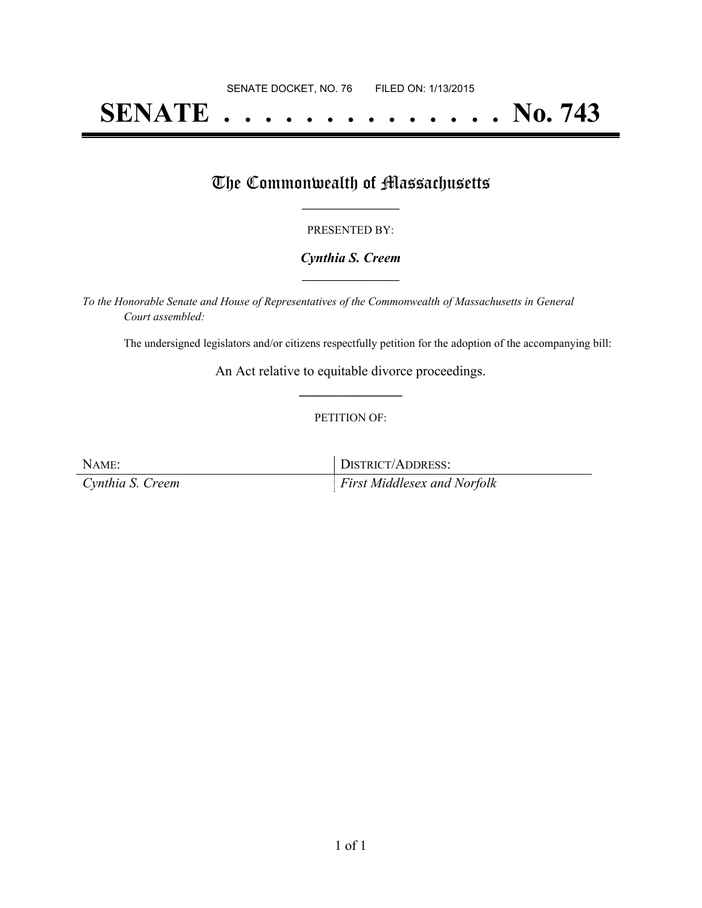# **SENATE . . . . . . . . . . . . . . No. 743**

# The Commonwealth of Massachusetts

## PRESENTED BY:

## *Cynthia S. Creem* **\_\_\_\_\_\_\_\_\_\_\_\_\_\_\_\_\_**

*To the Honorable Senate and House of Representatives of the Commonwealth of Massachusetts in General Court assembled:*

The undersigned legislators and/or citizens respectfully petition for the adoption of the accompanying bill:

An Act relative to equitable divorce proceedings. **\_\_\_\_\_\_\_\_\_\_\_\_\_\_\_**

## PETITION OF:

NAME: DISTRICT/ADDRESS: *Cynthia S. Creem First Middlesex and Norfolk*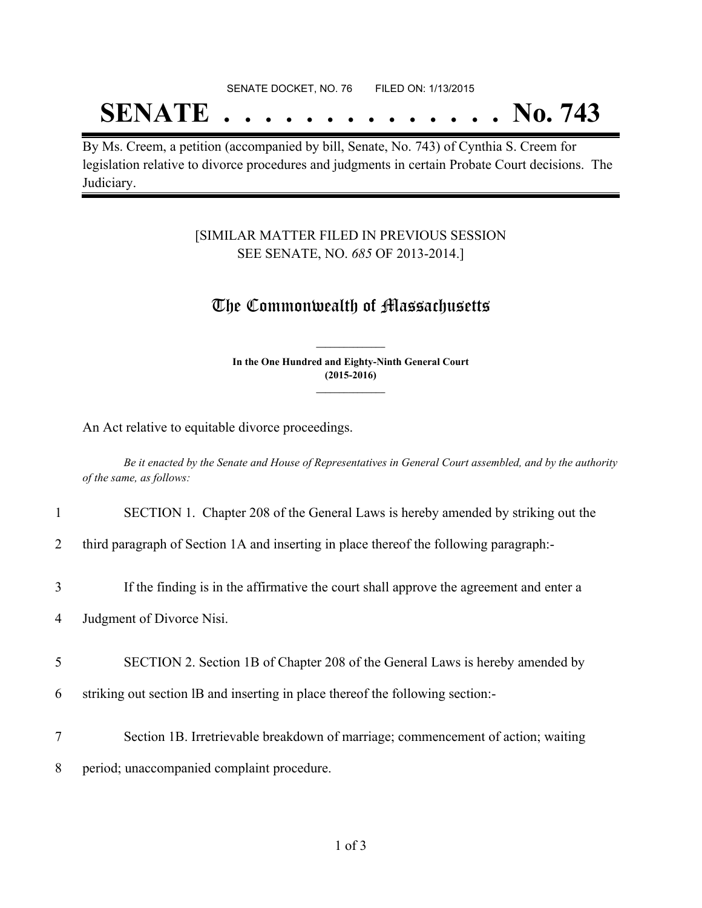#### SENATE DOCKET, NO. 76 FILED ON: 1/13/2015

# **SENATE . . . . . . . . . . . . . . No. 743**

By Ms. Creem, a petition (accompanied by bill, Senate, No. 743) of Cynthia S. Creem for legislation relative to divorce procedures and judgments in certain Probate Court decisions. The Judiciary.

## [SIMILAR MATTER FILED IN PREVIOUS SESSION SEE SENATE, NO. *685* OF 2013-2014.]

# The Commonwealth of Massachusetts

**In the One Hundred and Eighty-Ninth General Court (2015-2016) \_\_\_\_\_\_\_\_\_\_\_\_\_\_\_**

**\_\_\_\_\_\_\_\_\_\_\_\_\_\_\_**

An Act relative to equitable divorce proceedings.

Be it enacted by the Senate and House of Representatives in General Court assembled, and by the authority *of the same, as follows:*

#### 1 SECTION 1. Chapter 208 of the General Laws is hereby amended by striking out the

2 third paragraph of Section 1A and inserting in place thereof the following paragraph:-

3 If the finding is in the affirmative the court shall approve the agreement and enter a

4 Judgment of Divorce Nisi.

5 SECTION 2. Section 1B of Chapter 208 of the General Laws is hereby amended by

- 6 striking out section lB and inserting in place thereof the following section:-
- 7 Section 1B. Irretrievable breakdown of marriage; commencement of action; waiting
- 8 period; unaccompanied complaint procedure.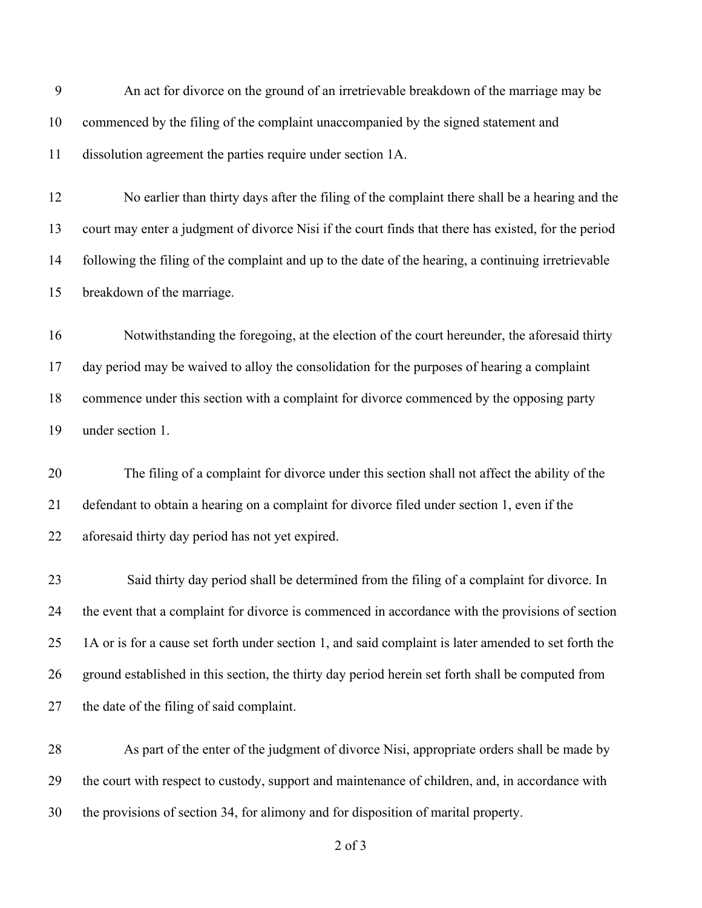An act for divorce on the ground of an irretrievable breakdown of the marriage may be commenced by the filing of the complaint unaccompanied by the signed statement and dissolution agreement the parties require under section 1A. No earlier than thirty days after the filing of the complaint there shall be a hearing and the court may enter a judgment of divorce Nisi if the court finds that there has existed, for the period following the filing of the complaint and up to the date of the hearing, a continuing irretrievable breakdown of the marriage. Notwithstanding the foregoing, at the election of the court hereunder, the aforesaid thirty day period may be waived to alloy the consolidation for the purposes of hearing a complaint commence under this section with a complaint for divorce commenced by the opposing party under section 1. The filing of a complaint for divorce under this section shall not affect the ability of the defendant to obtain a hearing on a complaint for divorce filed under section 1, even if the aforesaid thirty day period has not yet expired. Said thirty day period shall be determined from the filing of a complaint for divorce. In the event that a complaint for divorce is commenced in accordance with the provisions of section 1A or is for a cause set forth under section 1, and said complaint is later amended to set forth the ground established in this section, the thirty day period herein set forth shall be computed from the date of the filing of said complaint. As part of the enter of the judgment of divorce Nisi, appropriate orders shall be made by the court with respect to custody, support and maintenance of children, and, in accordance with the provisions of section 34, for alimony and for disposition of marital property.

of 3